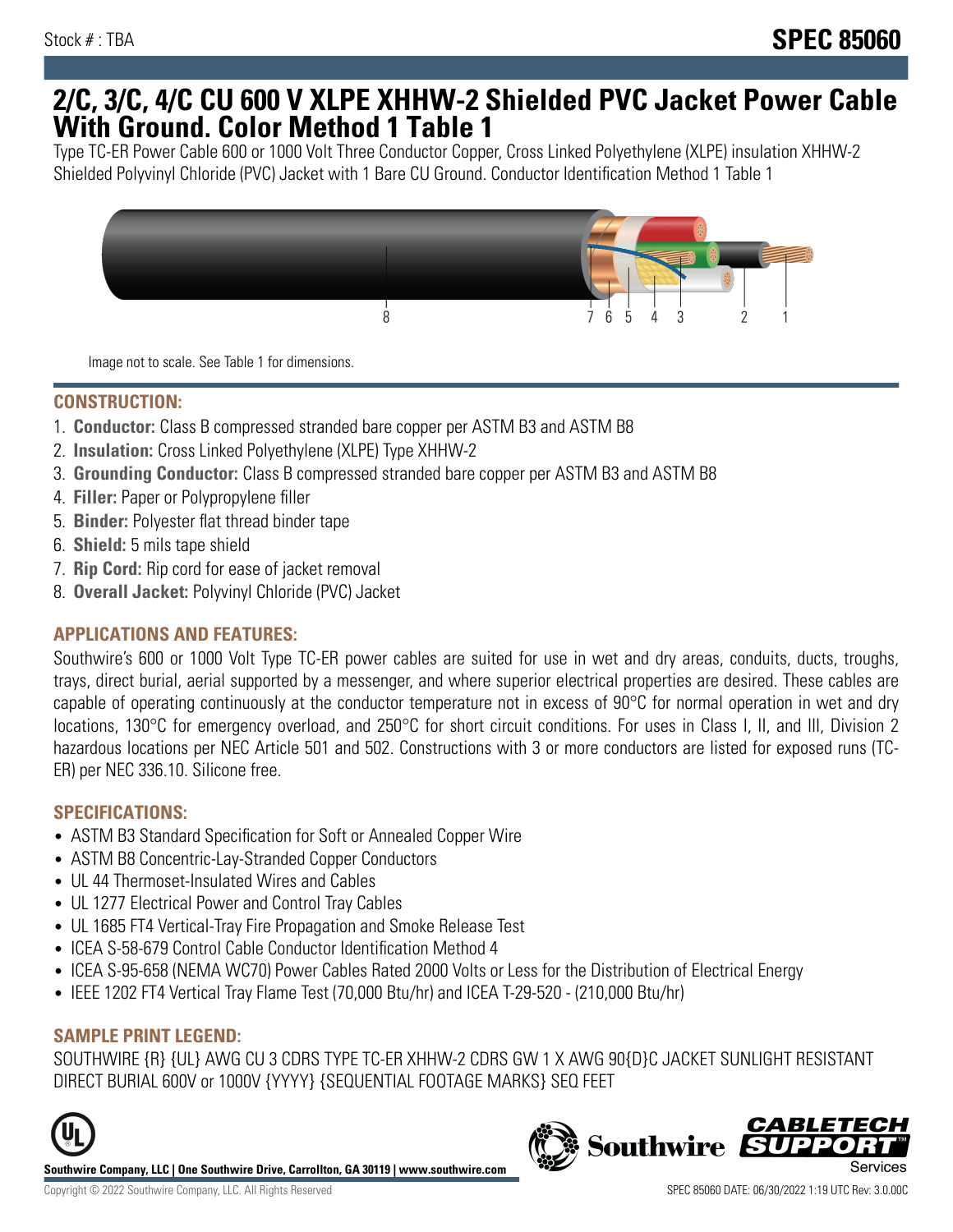## **2/C, 3/C, 4/C CU 600 V XLPE XHHW-2 Shielded PVC Jacket Power Cable With Ground. Color Method 1 Table 1**

Type TC-ER Power Cable 600 or 1000 Volt Three Conductor Copper, Cross Linked Polyethylene (XLPE) insulation XHHW-2 Shielded Polyvinyl Chloride (PVC) Jacket with 1 Bare CU Ground. Conductor Identification Method 1 Table 1



Image not to scale. See Table 1 for dimensions.

## **CONSTRUCTION:**

- 1. **Conductor:** Class B compressed stranded bare copper per ASTM B3 and ASTM B8
- 2. **Insulation:** Cross Linked Polyethylene (XLPE) Type XHHW-2
- 3. **Grounding Conductor:** Class B compressed stranded bare copper per ASTM B3 and ASTM B8
- 4. **Filler:** Paper or Polypropylene filler
- 5. **Binder:** Polyester flat thread binder tape
- 6. **Shield:** 5 mils tape shield
- 7. **Rip Cord:** Rip cord for ease of jacket removal
- 8. **Overall Jacket:** Polyvinyl Chloride (PVC) Jacket

## **APPLICATIONS AND FEATURES:**

Southwire's 600 or 1000 Volt Type TC-ER power cables are suited for use in wet and dry areas, conduits, ducts, troughs, trays, direct burial, aerial supported by a messenger, and where superior electrical properties are desired. These cables are capable of operating continuously at the conductor temperature not in excess of 90°C for normal operation in wet and dry locations, 130°C for emergency overload, and 250°C for short circuit conditions. For uses in Class I, II, and III, Division 2 hazardous locations per NEC Article 501 and 502. Constructions with 3 or more conductors are listed for exposed runs (TC-ER) per NEC 336.10. Silicone free.

#### **SPECIFICATIONS:**

- ASTM B3 Standard Specification for Soft or Annealed Copper Wire
- ASTM B8 Concentric-Lay-Stranded Copper Conductors
- UL 44 Thermoset-Insulated Wires and Cables
- UL 1277 Electrical Power and Control Tray Cables
- UL 1685 FT4 Vertical-Tray Fire Propagation and Smoke Release Test
- ICEA S-58-679 Control Cable Conductor Identification Method 4
- ICEA S-95-658 (NEMA WC70) Power Cables Rated 2000 Volts or Less for the Distribution of Electrical Energy
- IEEE 1202 FT4 Vertical Tray Flame Test (70,000 Btu/hr) and ICEA T-29-520 (210,000 Btu/hr)

#### **SAMPLE PRINT LEGEND:**

SOUTHWIRE {R} {UL} AWG CU 3 CDRS TYPE TC-ER XHHW-2 CDRS GW 1 X AWG 90{D}C JACKET SUNLIGHT RESISTANT DIRECT BURIAL 600V or 1000V {YYYY} {SEQUENTIAL FOOTAGE MARKS} SEQ FEET



**Southwire Company, LLC | One Southwire Drive, Carrollton, GA 30119 | www.southwire.com**